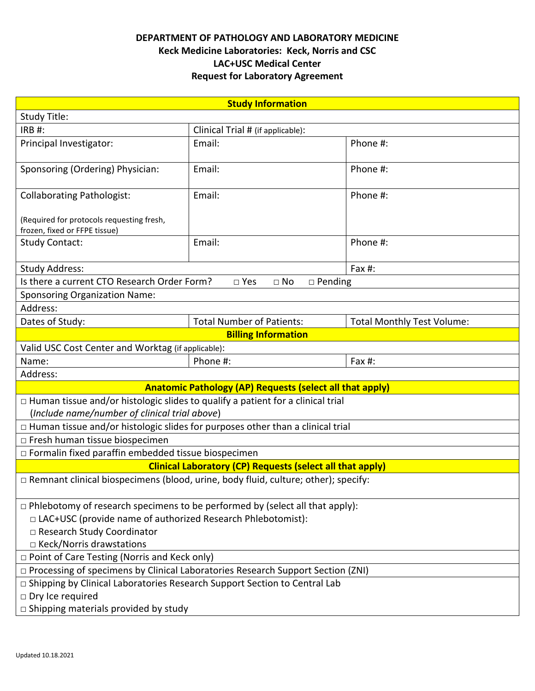## **DEPARTMENT OF PATHOLOGY AND LABORATORY MEDICINE Keck Medicine Laboratories: Keck, Norris and CSC LAC+USC Medical Center Request for Laboratory Agreement**

| <b>Study Information</b>                                                                  |                                            |                                   |  |  |  |  |
|-------------------------------------------------------------------------------------------|--------------------------------------------|-----------------------------------|--|--|--|--|
| Study Title:                                                                              |                                            |                                   |  |  |  |  |
| <b>IRB#:</b>                                                                              | Clinical Trial # (if applicable):          |                                   |  |  |  |  |
| Principal Investigator:                                                                   | Email:                                     | Phone #:                          |  |  |  |  |
| Sponsoring (Ordering) Physician:                                                          | Email:                                     | Phone #:                          |  |  |  |  |
| <b>Collaborating Pathologist:</b>                                                         | Email:                                     | Phone #:                          |  |  |  |  |
| (Required for protocols requesting fresh,<br>frozen, fixed or FFPE tissue)                |                                            |                                   |  |  |  |  |
| <b>Study Contact:</b>                                                                     | Email:                                     | Phone #:                          |  |  |  |  |
| <b>Study Address:</b><br>Fax #:                                                           |                                            |                                   |  |  |  |  |
| Is there a current CTO Research Order Form?                                               | □ Yes<br>$\square$ No<br>$\square$ Pending |                                   |  |  |  |  |
| <b>Sponsoring Organization Name:</b>                                                      |                                            |                                   |  |  |  |  |
| Address:                                                                                  |                                            |                                   |  |  |  |  |
| Dates of Study:                                                                           | <b>Total Number of Patients:</b>           | <b>Total Monthly Test Volume:</b> |  |  |  |  |
|                                                                                           | <b>Billing Information</b>                 |                                   |  |  |  |  |
| Valid USC Cost Center and Worktag (if applicable):                                        |                                            |                                   |  |  |  |  |
| Name:                                                                                     | Phone #:                                   | Fax $#$ :                         |  |  |  |  |
| Address:                                                                                  |                                            |                                   |  |  |  |  |
| <b>Anatomic Pathology (AP) Requests (select all that apply)</b>                           |                                            |                                   |  |  |  |  |
| $\Box$ Human tissue and/or histologic slides to qualify a patient for a clinical trial    |                                            |                                   |  |  |  |  |
| (Include name/number of clinical trial above)                                             |                                            |                                   |  |  |  |  |
| $\Box$ Human tissue and/or histologic slides for purposes other than a clinical trial     |                                            |                                   |  |  |  |  |
| □ Fresh human tissue biospecimen                                                          |                                            |                                   |  |  |  |  |
| $\Box$ Formalin fixed paraffin embedded tissue biospecimen                                |                                            |                                   |  |  |  |  |
| <b>Clinical Laboratory (CP) Requests (select all that apply)</b>                          |                                            |                                   |  |  |  |  |
| $\Box$ Remnant clinical biospecimens (blood, urine, body fluid, culture; other); specify: |                                            |                                   |  |  |  |  |
| $\Box$ Phlebotomy of research specimens to be performed by (select all that apply):       |                                            |                                   |  |  |  |  |
| □ LAC+USC (provide name of authorized Research Phlebotomist):                             |                                            |                                   |  |  |  |  |
| □ Research Study Coordinator                                                              |                                            |                                   |  |  |  |  |
| □ Keck/Norris drawstations                                                                |                                            |                                   |  |  |  |  |
| $\Box$ Point of Care Testing (Norris and Keck only)                                       |                                            |                                   |  |  |  |  |
| □ Processing of specimens by Clinical Laboratories Research Support Section (ZNI)         |                                            |                                   |  |  |  |  |
| □ Shipping by Clinical Laboratories Research Support Section to Central Lab               |                                            |                                   |  |  |  |  |
| $\Box$ Dry Ice required                                                                   |                                            |                                   |  |  |  |  |
| □ Shipping materials provided by study                                                    |                                            |                                   |  |  |  |  |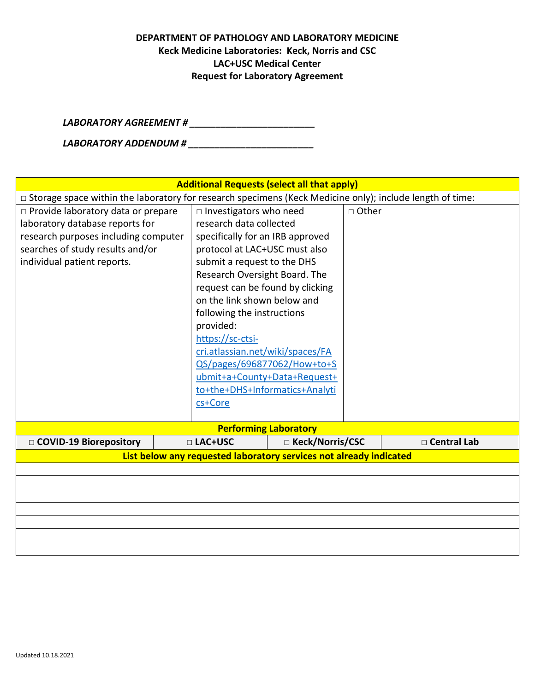## **DEPARTMENT OF PATHOLOGY AND LABORATORY MEDICINE Keck Medicine Laboratories: Keck, Norris and CSC LAC+USC Medical Center Request for Laboratory Agreement**

*LABORATORY AGREEMENT # \_\_\_\_\_\_\_\_\_\_\_\_\_\_\_\_\_\_\_\_\_\_\_\_*

*LABORATORY ADDENDUM # \_\_\_\_\_\_\_\_\_\_\_\_\_\_\_\_\_\_\_\_\_\_\_\_*

| <b>Additional Requests (select all that apply)</b>                                                                                                                                 |                                                                                                                                                                                                                                                                                                                                                                                                                                                                                    |                   |         |               |  |  |  |
|------------------------------------------------------------------------------------------------------------------------------------------------------------------------------------|------------------------------------------------------------------------------------------------------------------------------------------------------------------------------------------------------------------------------------------------------------------------------------------------------------------------------------------------------------------------------------------------------------------------------------------------------------------------------------|-------------------|---------|---------------|--|--|--|
| $\Box$ Storage space within the laboratory for research specimens (Keck Medicine only); include length of time:                                                                    |                                                                                                                                                                                                                                                                                                                                                                                                                                                                                    |                   |         |               |  |  |  |
| □ Provide laboratory data or prepare<br>laboratory database reports for<br>research purposes including computer<br>searches of study results and/or<br>individual patient reports. | $\square$ Investigators who need<br>research data collected<br>specifically for an IRB approved<br>protocol at LAC+USC must also<br>submit a request to the DHS<br>Research Oversight Board. The<br>request can be found by clicking<br>on the link shown below and<br>following the instructions<br>provided:<br>https://sc-ctsi-<br>cri.atlassian.net/wiki/spaces/FA<br>QS/pages/696877062/How+to+S<br>ubmit+a+County+Data+Request+<br>to+the+DHS+Informatics+Analyti<br>cs+Core |                   | □ Other |               |  |  |  |
| <b>Performing Laboratory</b>                                                                                                                                                       |                                                                                                                                                                                                                                                                                                                                                                                                                                                                                    |                   |         |               |  |  |  |
| □ COVID-19 Biorepository                                                                                                                                                           | □ LAC+USC                                                                                                                                                                                                                                                                                                                                                                                                                                                                          | □ Keck/Norris/CSC |         | □ Central Lab |  |  |  |
| List below any requested laboratory services not already indicated                                                                                                                 |                                                                                                                                                                                                                                                                                                                                                                                                                                                                                    |                   |         |               |  |  |  |
|                                                                                                                                                                                    |                                                                                                                                                                                                                                                                                                                                                                                                                                                                                    |                   |         |               |  |  |  |
|                                                                                                                                                                                    |                                                                                                                                                                                                                                                                                                                                                                                                                                                                                    |                   |         |               |  |  |  |
|                                                                                                                                                                                    |                                                                                                                                                                                                                                                                                                                                                                                                                                                                                    |                   |         |               |  |  |  |
|                                                                                                                                                                                    |                                                                                                                                                                                                                                                                                                                                                                                                                                                                                    |                   |         |               |  |  |  |
|                                                                                                                                                                                    |                                                                                                                                                                                                                                                                                                                                                                                                                                                                                    |                   |         |               |  |  |  |
|                                                                                                                                                                                    |                                                                                                                                                                                                                                                                                                                                                                                                                                                                                    |                   |         |               |  |  |  |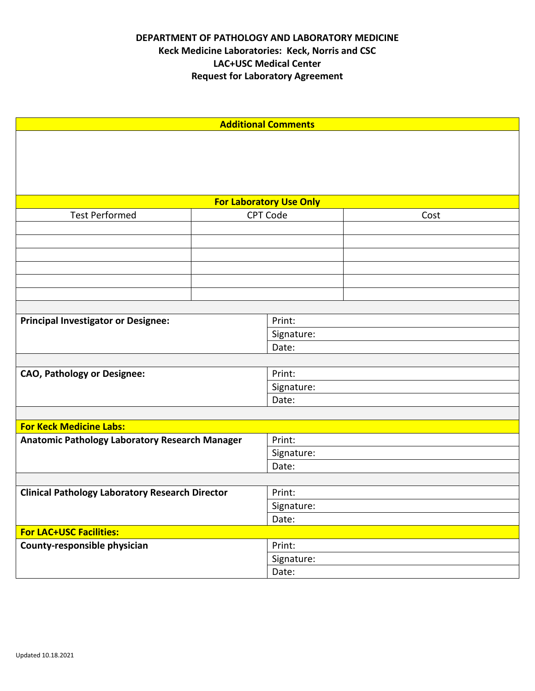| <b>Additional Comments</b>                             |                 |                     |      |  |  |  |  |
|--------------------------------------------------------|-----------------|---------------------|------|--|--|--|--|
|                                                        |                 |                     |      |  |  |  |  |
|                                                        |                 |                     |      |  |  |  |  |
|                                                        |                 |                     |      |  |  |  |  |
|                                                        |                 |                     |      |  |  |  |  |
| <b>For Laboratory Use Only</b>                         |                 |                     |      |  |  |  |  |
| <b>Test Performed</b>                                  | <b>CPT Code</b> |                     | Cost |  |  |  |  |
|                                                        |                 |                     |      |  |  |  |  |
|                                                        |                 |                     |      |  |  |  |  |
|                                                        |                 |                     |      |  |  |  |  |
|                                                        |                 |                     |      |  |  |  |  |
|                                                        |                 |                     |      |  |  |  |  |
|                                                        |                 |                     |      |  |  |  |  |
|                                                        |                 | Print:              |      |  |  |  |  |
| <b>Principal Investigator or Designee:</b>             |                 | Signature:          |      |  |  |  |  |
|                                                        |                 | Date:               |      |  |  |  |  |
|                                                        |                 |                     |      |  |  |  |  |
| <b>CAO, Pathology or Designee:</b>                     |                 | Print:              |      |  |  |  |  |
|                                                        |                 | Signature:          |      |  |  |  |  |
|                                                        |                 | Date:               |      |  |  |  |  |
|                                                        |                 |                     |      |  |  |  |  |
| <b>For Keck Medicine Labs:</b>                         |                 |                     |      |  |  |  |  |
| Anatomic Pathology Laboratory Research Manager         |                 | Print:              |      |  |  |  |  |
|                                                        |                 | Signature:          |      |  |  |  |  |
|                                                        |                 | Date:               |      |  |  |  |  |
|                                                        |                 |                     |      |  |  |  |  |
| <b>Clinical Pathology Laboratory Research Director</b> |                 | Print:              |      |  |  |  |  |
|                                                        |                 | Signature:<br>Date: |      |  |  |  |  |
| <b>For LAC+USC Facilities:</b>                         |                 |                     |      |  |  |  |  |
| County-responsible physician                           |                 | Print:              |      |  |  |  |  |
|                                                        |                 | Signature:          |      |  |  |  |  |
|                                                        |                 | Date:               |      |  |  |  |  |
|                                                        |                 |                     |      |  |  |  |  |